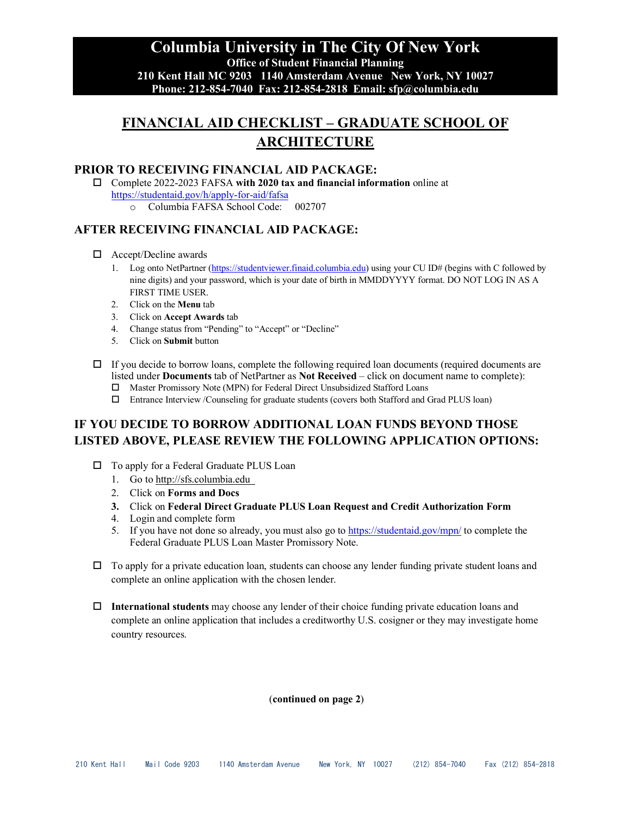**Columbia University in The City Of New York Office of Student Financial Planning 210 Kent Hall MC 9203 1140 Amsterdam Avenue New York, NY 10027 Phone: 212-854-7040 Fax: 212-854-2818 Email: sfp@columbia.edu**

# **FINANCIAL AID CHECKLIST – GRADUATE SCHOOL OF ARCHITECTURE**

#### **PRIOR TO RECEIVING FINANCIAL AID PACKAGE:**

 Complete 2022-2023 FAFSA **with 2020 tax and financial information** online at <https://studentaid.gov/h/apply-for-aid/fafsa>

o Columbia FAFSA School Code: 002707

## **AFTER RECEIVING FINANCIAL AID PACKAGE:**

- □ Accept/Decline awards
	- 1. Log onto NetPartner [\(https://studentviewer.finaid.columbia.edu\)](https://studentviewer.finaid.columbia.edu/) using your CU ID# (begins with C followed by nine digits) and your password, which is your date of birth in MMDDYYYY format. DO NOT LOG IN AS A FIRST TIME USER.
	- 2. Click on the **Menu** tab
	- 3. Click on **Accept Awards** tab
	- 4. Change status from "Pending" to "Accept" or "Decline"
	- 5. Click on **Submit** button
- $\Box$  If you decide to borrow loans, complete the following required loan documents (required documents are listed under **Documents** tab of NetPartner as **Not Received** – click on document name to complete):
	- Master Promissory Note (MPN) for Federal Direct Unsubsidized Stafford Loans
	- Entrance Interview /Counseling for graduate students (covers both Stafford and Grad PLUS loan)

# **IF YOU DECIDE TO BORROW ADDITIONAL LOAN FUNDS BEYOND THOSE LISTED ABOVE, PLEASE REVIEW THE FOLLOWING APPLICATION OPTIONS:**

- □ To apply for a Federal Graduate PLUS Loan
	- 1. Go to http://sfs.columbia.edu
	- 2. Click on **Forms and Docs**
	- **3.** Click on **Federal Direct Graduate PLUS Loan Request and Credit Authorization Form**
	- 4. Login and complete form
	- 5. If you have not done so already, you must also go to<https://studentaid.gov/mpn/> to complete the Federal Graduate PLUS Loan Master Promissory Note.
- $\Box$  To apply for a private education loan, students can choose any lender funding private student loans and complete an online application with the chosen lender.
- **International students** may choose any lender of their choice funding private education loans and complete an online application that includes a creditworthy U.S. cosigner or they may investigate home country resources.

(**continued on page 2**)